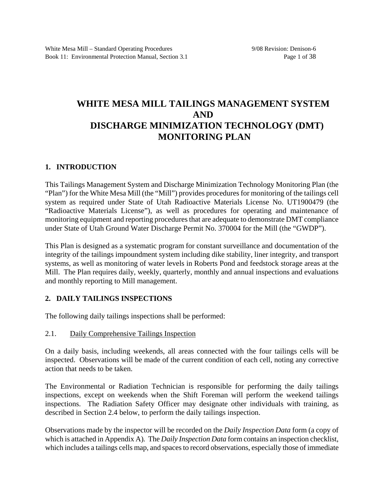# **WHITE MESA MILL TAILINGS MANAGEMENT SYSTEM AND DISCHARGE MINIMIZATION TECHNOLOGY (DMT) MONITORING PLAN**

# **1. INTRODUCTION**

This Tailings Management System and Discharge Minimization Technology Monitoring Plan (the "Plan") for the White Mesa Mill (the "Mill") provides procedures for monitoring of the tailings cell system as required under State of Utah Radioactive Materials License No. UT1900479 (the "Radioactive Materials License"), as well as procedures for operating and maintenance of monitoring equipment and reporting procedures that are adequate to demonstrate DMT compliance under State of Utah Ground Water Discharge Permit No. 370004 for the Mill (the "GWDP").

This Plan is designed as a systematic program for constant surveillance and documentation of the integrity of the tailings impoundment system including dike stability, liner integrity, and transport systems, as well as monitoring of water levels in Roberts Pond and feedstock storage areas at the Mill. The Plan requires daily, weekly, quarterly, monthly and annual inspections and evaluations and monthly reporting to Mill management.

# **2. DAILY TAILINGS INSPECTIONS**

The following daily tailings inspections shall be performed:

2.1. Daily Comprehensive Tailings Inspection

On a daily basis, including weekends, all areas connected with the four tailings cells will be inspected. Observations will be made of the current condition of each cell, noting any corrective action that needs to be taken.

The Environmental or Radiation Technician is responsible for performing the daily tailings inspections, except on weekends when the Shift Foreman will perform the weekend tailings inspections. The Radiation Safety Officer may designate other individuals with training, as described in Section 2.4 below, to perform the daily tailings inspection.

Observations made by the inspector will be recorded on the *Daily Inspection Data* form (a copy of which is attached in Appendix A)*.* The *Daily Inspection Data* form contains an inspection checklist, which includes a tailings cells map, and spaces to record observations, especially those of immediate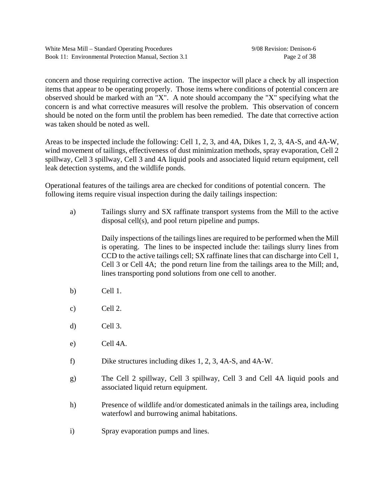concern and those requiring corrective action. The inspector will place a check by all inspection items that appear to be operating properly. Those items where conditions of potential concern are observed should be marked with an "X". A note should accompany the "X" specifying what the concern is and what corrective measures will resolve the problem. This observation of concern should be noted on the form until the problem has been remedied. The date that corrective action was taken should be noted as well.

Areas to be inspected include the following: Cell 1, 2, 3, and 4A, Dikes 1, 2, 3, 4A-S, and 4A-W, wind movement of tailings, effectiveness of dust minimization methods, spray evaporation, Cell 2 spillway, Cell 3 spillway, Cell 3 and 4A liquid pools and associated liquid return equipment, cell leak detection systems, and the wildlife ponds.

Operational features of the tailings area are checked for conditions of potential concern. The following items require visual inspection during the daily tailings inspection:

a) Tailings slurry and SX raffinate transport systems from the Mill to the active disposal cell(s), and pool return pipeline and pumps.

> Daily inspections of the tailings lines are required to be performed when the Mill is operating. The lines to be inspected include the: tailings slurry lines from CCD to the active tailings cell; SX raffinate lines that can discharge into Cell 1, Cell 3 or Cell 4A; the pond return line from the tailings area to the Mill; and, lines transporting pond solutions from one cell to another.

- b) Cell 1.
- c) Cell 2.
- d) Cell 3.
- e) Cell 4A.
- f) Dike structures including dikes 1, 2, 3, 4A-S, and 4A-W.
- g) The Cell 2 spillway, Cell 3 spillway, Cell 3 and Cell 4A liquid pools and associated liquid return equipment.
- h) Presence of wildlife and/or domesticated animals in the tailings area, including waterfowl and burrowing animal habitations.
- i) Spray evaporation pumps and lines.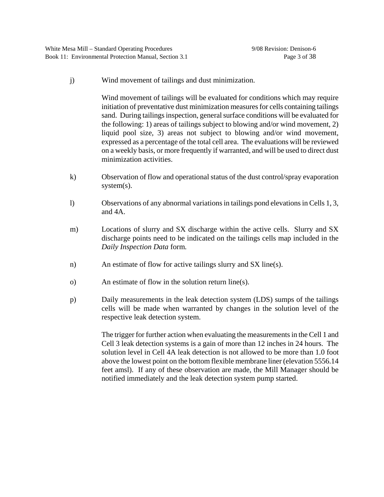j) Wind movement of tailings and dust minimization.

Wind movement of tailings will be evaluated for conditions which may require initiation of preventative dust minimization measures for cells containing tailings sand. During tailings inspection, general surface conditions will be evaluated for the following: 1) areas of tailings subject to blowing and/or wind movement, 2) liquid pool size, 3) areas not subject to blowing and/or wind movement, expressed as a percentage of the total cell area. The evaluations will be reviewed on a weekly basis, or more frequently if warranted, and will be used to direct dust minimization activities.

- k) Observation of flow and operational status of the dust control/spray evaporation system(s).
- l) Observations of any abnormal variations in tailings pond elevations in Cells 1, 3, and 4A.
- m) Locations of slurry and SX discharge within the active cells. Slurry and SX discharge points need to be indicated on the tailings cells map included in the *Daily Inspection Data* form*.*
- n) An estimate of flow for active tailings slurry and SX line(s).
- o) An estimate of flow in the solution return line(s).
- p) Daily measurements in the leak detection system (LDS) sumps of the tailings cells will be made when warranted by changes in the solution level of the respective leak detection system.

The trigger for further action when evaluating the measurements in the Cell 1 and Cell 3 leak detection systems is a gain of more than 12 inches in 24 hours. The solution level in Cell 4A leak detection is not allowed to be more than 1.0 foot above the lowest point on the bottom flexible membrane liner (elevation 5556.14 feet amsl). If any of these observation are made, the Mill Manager should be notified immediately and the leak detection system pump started.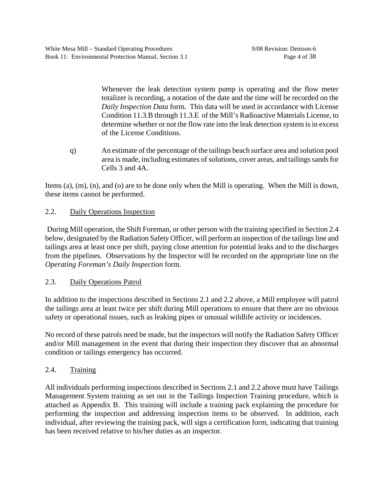Whenever the leak detection system pump is operating and the flow meter totalizer is recording, a notation of the date and the time will be recorded on the *Daily Inspection Data* form. This data will be used in accordance with License Condition 11.3.B through 11.3.E of the Mill's Radioactive Materials License, to determine whether or not the flow rate into the leak detection system is in excess of the License Conditions.

q) An estimate of the percentage of the tailings beach surface area and solution pool area is made, including estimates of solutions, cover areas, and tailings sands for Cells 3 and 4A.

Items (a), (m), (n), and (o) are to be done only when the Mill is operating. When the Mill is down, these items cannot be performed.

# 2.2. Daily Operations Inspection

 During Mill operation, the Shift Foreman, or other person with the training specified in Section 2.4 below, designated by the Radiation Safety Officer, will perform an inspection of the tailings line and tailings area at least once per shift, paying close attention for potential leaks and to the discharges from the pipelines. Observations by the Inspector will be recorded on the appropriate line on the *Operating Foreman's Daily Inspection* form.

### 2.3. Daily Operations Patrol

In addition to the inspections described in Sections 2.1 and 2.2 above, a Mill employee will patrol the tailings area at least twice per shift during Mill operations to ensure that there are no obvious safety or operational issues, such as leaking pipes or unusual wildlife activity or incidences.

No record of these patrols need be made, but the inspectors will notify the Radiation Safety Officer and/or Mill management in the event that during their inspection they discover that an abnormal condition or tailings emergency has occurred.

# 2.4. Training

All individuals performing inspections described in Sections 2.1 and 2.2 above must have Tailings Management System training as set out in the Tailings Inspection Training procedure, which is attached as Appendix B. This training will include a training pack explaining the procedure for performing the inspection and addressing inspection items to be observed. In addition, each individual, after reviewing the training pack, will sign a certification form, indicating that training has been received relative to his/her duties as an inspector.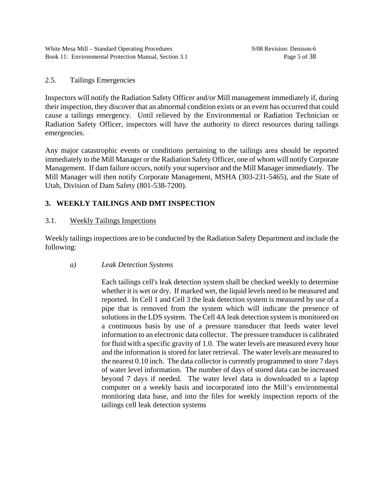White Mesa Mill – Standard Operating Procedures 9/08 Revision: Denison-6 Book 11: Environmental Protection Manual, Section 3.1 Page 5 of 38

2.5. Tailings Emergencies

Inspectors will notify the Radiation Safety Officer and/or Mill management immediately if, during their inspection, they discover that an abnormal condition exists or an event has occurred that could cause a tailings emergency. Until relieved by the Environmental or Radiation Technician or Radiation Safety Officer, inspectors will have the authority to direct resources during tailings emergencies.

Any major catastrophic events or conditions pertaining to the tailings area should be reported immediately to the Mill Manager or the Radiation Safety Officer, one of whom will notify Corporate Management. If dam failure occurs, notify your supervisor and the Mill Manager immediately. The Mill Manager will then notify Corporate Management, MSHA (303-231-5465), and the State of Utah, Division of Dam Safety (801-538-7200).

# **3. WEEKLY TAILINGS AND DMT INSPECTION**

## 3.1. Weekly Tailings Inspections

Weekly tailings inspections are to be conducted by the Radiation Safety Department and include the following:

### *a) Leak Detection Systems*

Each tailings cell's leak detection system shall be checked weekly to determine whether it is wet or dry. If marked wet, the liquid levels need to be measured and reported. In Cell 1 and Cell 3 the leak detection system is measured by use of a pipe that is removed from the system which will indicate the presence of solutions in the LDS system. The Cell 4A leak detection system is monitored on a continuous basis by use of a pressure transducer that feeds water level information to an electronic data collector. The pressure transducer is calibrated for fluid with a specific gravity of 1.0. The water levels are measured every hour and the information is stored for later retrieval. The water levels are measured to the nearest 0.10 inch. The data collector is currently programmed to store 7 days of water level information. The number of days of stored data can be increased beyond 7 days if needed. The water level data is downloaded to a laptop computer on a weekly basis and incorporated into the Mill's environmental monitoring data base, and into the files for weekly inspection reports of the tailings cell leak detection systems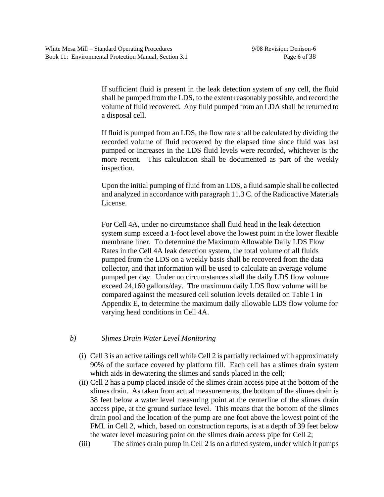If sufficient fluid is present in the leak detection system of any cell, the fluid shall be pumped from the LDS, to the extent reasonably possible, and record the volume of fluid recovered. Any fluid pumped from an LDA shall be returned to a disposal cell.

If fluid is pumped from an LDS, the flow rate shall be calculated by dividing the recorded volume of fluid recovered by the elapsed time since fluid was last pumped or increases in the LDS fluid levels were recorded, whichever is the more recent. This calculation shall be documented as part of the weekly inspection.

Upon the initial pumping of fluid from an LDS, a fluid sample shall be collected and analyzed in accordance with paragraph 11.3 C. of the Radioactive Materials License.

For Cell 4A, under no circumstance shall fluid head in the leak detection system sump exceed a 1-foot level above the lowest point in the lower flexible membrane liner. To determine the Maximum Allowable Daily LDS Flow Rates in the Cell 4A leak detection system, the total volume of all fluids pumped from the LDS on a weekly basis shall be recovered from the data collector, and that information will be used to calculate an average volume pumped per day. Under no circumstances shall the daily LDS flow volume exceed 24,160 gallons/day. The maximum daily LDS flow volume will be compared against the measured cell solution levels detailed on Table 1 in Appendix E, to determine the maximum daily allowable LDS flow volume for varying head conditions in Cell 4A.

### *b) Slimes Drain Water Level Monitoring*

- (i) Cell 3 is an active tailings cell while Cell 2 is partially reclaimed with approximately 90% of the surface covered by platform fill. Each cell has a slimes drain system which aids in dewatering the slimes and sands placed in the cell;
- (ii) Cell 2 has a pump placed inside of the slimes drain access pipe at the bottom of the slimes drain. As taken from actual measurements, the bottom of the slimes drain is 38 feet below a water level measuring point at the centerline of the slimes drain access pipe, at the ground surface level. This means that the bottom of the slimes drain pool and the location of the pump are one foot above the lowest point of the FML in Cell 2, which, based on construction reports, is at a depth of 39 feet below the water level measuring point on the slimes drain access pipe for Cell 2;
- (iii) The slimes drain pump in Cell 2 is on a timed system, under which it pumps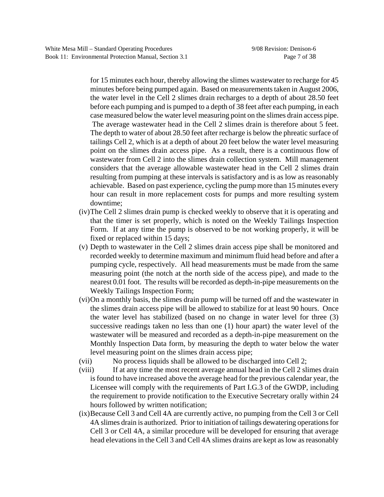for 15 minutes each hour, thereby allowing the slimes wastewater to recharge for 45 minutes before being pumped again. Based on measurements taken in August 2006, the water level in the Cell 2 slimes drain recharges to a depth of about 28.50 feet before each pumping and is pumped to a depth of 38 feet after each pumping, in each case measured below the water level measuring point on the slimes drain access pipe. The average wastewater head in the Cell 2 slimes drain is therefore about 5 feet. The depth to water of about 28.50 feet after recharge is below the phreatic surface of tailings Cell 2, which is at a depth of about 20 feet below the water level measuring point on the slimes drain access pipe. As a result, there is a continuous flow of wastewater from Cell 2 into the slimes drain collection system. Mill management considers that the average allowable wastewater head in the Cell 2 slimes drain resulting from pumping at these intervals is satisfactory and is as low as reasonably achievable. Based on past experience, cycling the pump more than 15 minutes every hour can result in more replacement costs for pumps and more resulting system downtime;

- (iv)The Cell 2 slimes drain pump is checked weekly to observe that it is operating and that the timer is set properly, which is noted on the Weekly Tailings Inspection Form. If at any time the pump is observed to be not working properly, it will be fixed or replaced within 15 days;
- (v) Depth to wastewater in the Cell 2 slimes drain access pipe shall be monitored and recorded weekly to determine maximum and minimum fluid head before and after a pumping cycle, respectively. All head measurements must be made from the same measuring point (the notch at the north side of the access pipe), and made to the nearest 0.01 foot. The results will be recorded as depth-in-pipe measurements on the Weekly Tailings Inspection Form;
- (vi)On a monthly basis, the slimes drain pump will be turned off and the wastewater in the slimes drain access pipe will be allowed to stabilize for at least 90 hours. Once the water level has stabilized (based on no change in water level for three (3) successive readings taken no less than one (1) hour apart) the water level of the wastewater will be measured and recorded as a depth-in-pipe measurement on the Monthly Inspection Data form, by measuring the depth to water below the water level measuring point on the slimes drain access pipe;
- (vii) No process liquids shall be allowed to be discharged into Cell 2;
- (viii) If at any time the most recent average annual head in the Cell 2 slimes drain is found to have increased above the average head for the previous calendar year, the Licensee will comply with the requirements of Part I.G.3 of the GWDP, including the requirement to provide notification to the Executive Secretary orally within 24 hours followed by written notification;
- (ix)Because Cell 3 and Cell 4A are currently active, no pumping from the Cell 3 or Cell 4A slimes drain is authorized. Prior to initiation of tailings dewatering operations for Cell 3 or Cell 4A, a similar procedure will be developed for ensuring that average head elevations in the Cell 3 and Cell 4A slimes drains are kept as low as reasonably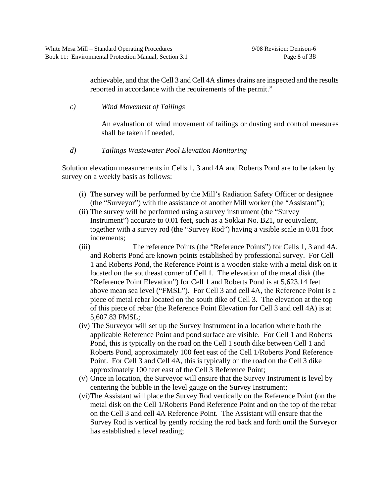achievable, and that the Cell 3 and Cell 4A slimes drains are inspected and the results reported in accordance with the requirements of the permit."

### *c) Wind Movement of Tailings*

An evaluation of wind movement of tailings or dusting and control measures shall be taken if needed.

### *d) Tailings Wastewater Pool Elevation Monitoring*

Solution elevation measurements in Cells 1, 3 and 4A and Roberts Pond are to be taken by survey on a weekly basis as follows:

- (i) The survey will be performed by the Mill's Radiation Safety Officer or designee (the "Surveyor") with the assistance of another Mill worker (the "Assistant");
- (ii) The survey will be performed using a survey instrument (the "Survey Instrument") accurate to 0.01 feet, such as a Sokkai No. B21, or equivalent, together with a survey rod (the "Survey Rod") having a visible scale in 0.01 foot increments;
- (iii) The reference Points (the "Reference Points") for Cells 1, 3 and 4A, and Roberts Pond are known points established by professional survey. For Cell 1 and Roberts Pond, the Reference Point is a wooden stake with a metal disk on it located on the southeast corner of Cell 1. The elevation of the metal disk (the "Reference Point Elevation") for Cell 1 and Roberts Pond is at 5,623.14 feet above mean sea level ("FMSL"). For Cell 3 and cell 4A, the Reference Point is a piece of metal rebar located on the south dike of Cell 3. The elevation at the top of this piece of rebar (the Reference Point Elevation for Cell 3 and cell 4A) is at 5,607.83 FMSL;
- (iv) The Surveyor will set up the Survey Instrument in a location where both the applicable Reference Point and pond surface are visible. For Cell 1 and Roberts Pond, this is typically on the road on the Cell 1 south dike between Cell 1 and Roberts Pond, approximately 100 feet east of the Cell 1/Roberts Pond Reference Point. For Cell 3 and Cell 4A, this is typically on the road on the Cell 3 dike approximately 100 feet east of the Cell 3 Reference Point;
- (v) Once in location, the Surveyor will ensure that the Survey Instrument is level by centering the bubble in the level gauge on the Survey Instrument;
- (vi)The Assistant will place the Survey Rod vertically on the Reference Point (on the metal disk on the Cell 1/Roberts Pond Reference Point and on the top of the rebar on the Cell 3 and cell 4A Reference Point. The Assistant will ensure that the Survey Rod is vertical by gently rocking the rod back and forth until the Surveyor has established a level reading;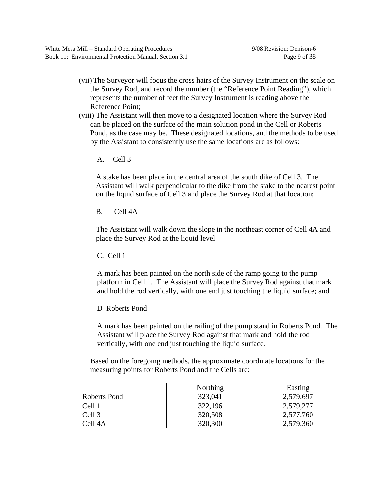- (vii)The Surveyor will focus the cross hairs of the Survey Instrument on the scale on the Survey Rod, and record the number (the "Reference Point Reading"), which represents the number of feet the Survey Instrument is reading above the Reference Point;
- (viii) The Assistant will then move to a designated location where the Survey Rod can be placed on the surface of the main solution pond in the Cell or Roberts Pond, as the case may be. These designated locations, and the methods to be used by the Assistant to consistently use the same locations are as follows:
	- A. Cell 3

A stake has been place in the central area of the south dike of Cell 3. The Assistant will walk perpendicular to the dike from the stake to the nearest point on the liquid surface of Cell 3 and place the Survey Rod at that location;

B. Cell 4A

The Assistant will walk down the slope in the northeast corner of Cell 4A and place the Survey Rod at the liquid level.

C. Cell 1

A mark has been painted on the north side of the ramp going to the pump platform in Cell 1. The Assistant will place the Survey Rod against that mark and hold the rod vertically, with one end just touching the liquid surface; and

D Roberts Pond

A mark has been painted on the railing of the pump stand in Roberts Pond. The Assistant will place the Survey Rod against that mark and hold the rod vertically, with one end just touching the liquid surface.

Based on the foregoing methods, the approximate coordinate locations for the measuring points for Roberts Pond and the Cells are:

|              | Northing | Easting   |
|--------------|----------|-----------|
| Roberts Pond | 323,041  | 2,579,697 |
| Cell 1       | 322,196  | 2,579,277 |
| Cell 3       | 320,508  | 2,577,760 |
| Cell 4A      | 320,300  | 2,579,360 |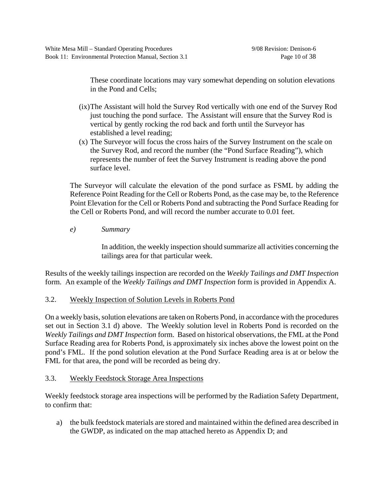These coordinate locations may vary somewhat depending on solution elevations in the Pond and Cells;

- (ix)The Assistant will hold the Survey Rod vertically with one end of the Survey Rod just touching the pond surface. The Assistant will ensure that the Survey Rod is vertical by gently rocking the rod back and forth until the Surveyor has established a level reading;
- (x) The Surveyor will focus the cross hairs of the Survey Instrument on the scale on the Survey Rod, and record the number (the "Pond Surface Reading"), which represents the number of feet the Survey Instrument is reading above the pond surface level.

The Surveyor will calculate the elevation of the pond surface as FSML by adding the Reference Point Reading for the Cell or Roberts Pond, as the case may be, to the Reference Point Elevation for the Cell or Roberts Pond and subtracting the Pond Surface Reading for the Cell or Roberts Pond, and will record the number accurate to 0.01 feet.

*e) Summary* 

In addition, the weekly inspection should summarize all activities concerning the tailings area for that particular week.

Results of the weekly tailings inspection are recorded on the *Weekly Tailings and DMT Inspection* form. An example of the *Weekly Tailings and DMT Inspection* form is provided in Appendix A.

### 3.2. Weekly Inspection of Solution Levels in Roberts Pond

On a weekly basis, solution elevations are taken on Roberts Pond, in accordance with the procedures set out in Section 3.1 d) above. The Weekly solution level in Roberts Pond is recorded on the *Weekly Tailings and DMT Inspection* form. Based on historical observations, the FML at the Pond Surface Reading area for Roberts Pond, is approximately six inches above the lowest point on the pond's FML. If the pond solution elevation at the Pond Surface Reading area is at or below the FML for that area, the pond will be recorded as being dry.

### 3.3. Weekly Feedstock Storage Area Inspections

Weekly feedstock storage area inspections will be performed by the Radiation Safety Department, to confirm that:

a) the bulk feedstock materials are stored and maintained within the defined area described in the GWDP, as indicated on the map attached hereto as Appendix D; and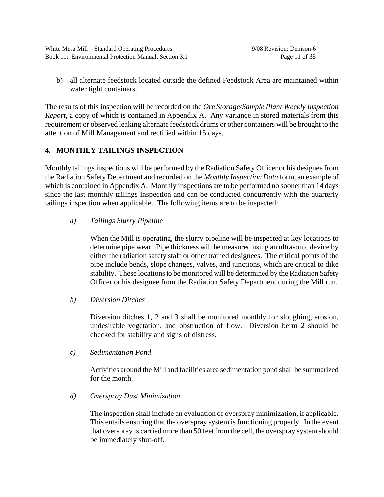b) all alternate feedstock located outside the defined Feedstock Area are maintained within water tight containers.

The results of this inspection will be recorded on the *Ore Storage/Sample Plant Weekly Inspection Report*, a copy of which is contained in Appendix A. Any variance in stored materials from this requirement or observed leaking alternate feedstock drums or other containers will be brought to the attention of Mill Management and rectified within 15 days.

# **4. MONTHLY TAILINGS INSPECTION**

Monthly tailings inspections will be performed by the Radiation Safety Officer or his designee from the Radiation Safety Department and recorded on the *Monthly Inspection Data* form, an example of which is contained in Appendix A. Monthly inspections are to be performed no sooner than 14 days since the last monthly tailings inspection and can be conducted concurrently with the quarterly tailings inspection when applicable. The following items are to be inspected:

*a) Tailings Slurry Pipeline* 

When the Mill is operating, the slurry pipeline will be inspected at key locations to determine pipe wear. Pipe thickness will be measured using an ultrasonic device by either the radiation safety staff or other trained designees. The critical points of the pipe include bends, slope changes, valves, and junctions, which are critical to dike stability. These locations to be monitored will be determined by the Radiation Safety Officer or his designee from the Radiation Safety Department during the Mill run.

*b) Diversion Ditches* 

Diversion ditches 1, 2 and 3 shall be monitored monthly for sloughing, erosion, undesirable vegetation, and obstruction of flow. Diversion berm 2 should be checked for stability and signs of distress.

*c) Sedimentation Pond* 

Activities around the Mill and facilities area sedimentation pond shall be summarized for the month.

*d) Overspray Dust Minimization* 

The inspection shall include an evaluation of overspray minimization, if applicable. This entails ensuring that the overspray system is functioning properly. In the event that overspray is carried more than 50 feet from the cell, the overspray system should be immediately shut-off.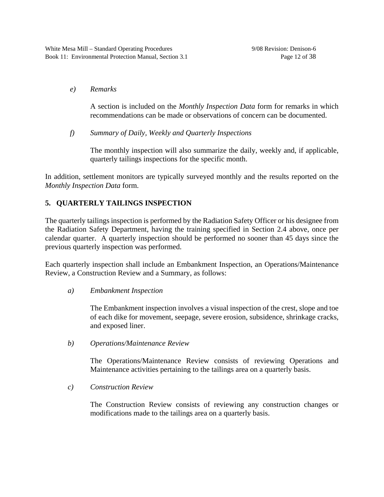*e) Remarks* 

A section is included on the *Monthly Inspection Data* form for remarks in which recommendations can be made or observations of concern can be documented.

*f) Summary of Daily, Weekly and Quarterly Inspections* 

The monthly inspection will also summarize the daily, weekly and, if applicable, quarterly tailings inspections for the specific month.

In addition, settlement monitors are typically surveyed monthly and the results reported on the *Monthly Inspection Data* form.

# **5. QUARTERLY TAILINGS INSPECTION**

The quarterly tailings inspection is performed by the Radiation Safety Officer or his designee from the Radiation Safety Department, having the training specified in Section 2.4 above, once per calendar quarter. A quarterly inspection should be performed no sooner than 45 days since the previous quarterly inspection was performed.

Each quarterly inspection shall include an Embankment Inspection, an Operations/Maintenance Review, a Construction Review and a Summary, as follows:

### *a) Embankment Inspection*

The Embankment inspection involves a visual inspection of the crest, slope and toe of each dike for movement, seepage, severe erosion, subsidence, shrinkage cracks, and exposed liner.

*b) Operations/Maintenance Review* 

The Operations/Maintenance Review consists of reviewing Operations and Maintenance activities pertaining to the tailings area on a quarterly basis.

*c) Construction Review* 

The Construction Review consists of reviewing any construction changes or modifications made to the tailings area on a quarterly basis.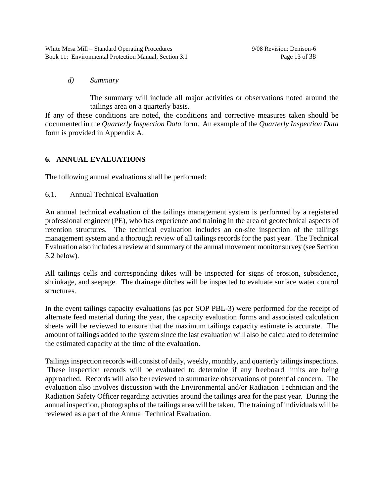### *d) Summary*

The summary will include all major activities or observations noted around the tailings area on a quarterly basis.

If any of these conditions are noted, the conditions and corrective measures taken should be documented in the *Quarterly Inspection Data* form. An example of the *Quarterly Inspection Data* form is provided in Appendix A.

### **6. ANNUAL EVALUATIONS**

The following annual evaluations shall be performed:

### 6.1. Annual Technical Evaluation

An annual technical evaluation of the tailings management system is performed by a registered professional engineer (PE), who has experience and training in the area of geotechnical aspects of retention structures. The technical evaluation includes an on-site inspection of the tailings management system and a thorough review of all tailings records for the past year. The Technical Evaluation also includes a review and summary of the annual movement monitor survey (see Section 5.2 below).

All tailings cells and corresponding dikes will be inspected for signs of erosion, subsidence, shrinkage, and seepage. The drainage ditches will be inspected to evaluate surface water control structures.

In the event tailings capacity evaluations (as per SOP PBL-3) were performed for the receipt of alternate feed material during the year, the capacity evaluation forms and associated calculation sheets will be reviewed to ensure that the maximum tailings capacity estimate is accurate. The amount of tailings added to the system since the last evaluation will also be calculated to determine the estimated capacity at the time of the evaluation.

Tailings inspection records will consist of daily, weekly, monthly, and quarterly tailings inspections. These inspection records will be evaluated to determine if any freeboard limits are being approached. Records will also be reviewed to summarize observations of potential concern. The evaluation also involves discussion with the Environmental and/or Radiation Technician and the Radiation Safety Officer regarding activities around the tailings area for the past year. During the annual inspection, photographs of the tailings area will be taken. The training of individuals will be reviewed as a part of the Annual Technical Evaluation.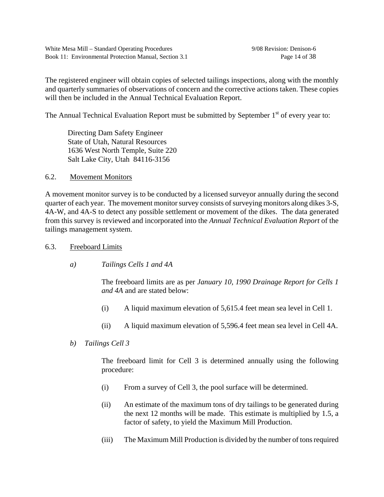The registered engineer will obtain copies of selected tailings inspections, along with the monthly and quarterly summaries of observations of concern and the corrective actions taken. These copies will then be included in the Annual Technical Evaluation Report.

The Annual Technical Evaluation Report must be submitted by September  $1<sup>st</sup>$  of every year to:

Directing Dam Safety Engineer State of Utah, Natural Resources 1636 West North Temple, Suite 220 Salt Lake City, Utah 84116-3156

### 6.2. Movement Monitors

A movement monitor survey is to be conducted by a licensed surveyor annually during the second quarter of each year. The movement monitor survey consists of surveying monitors along dikes 3-S, 4A-W, and 4A-S to detect any possible settlement or movement of the dikes. The data generated from this survey is reviewed and incorporated into the *Annual Technical Evaluation Report* of the tailings management system.

### 6.3. Freeboard Limits

*a) Tailings Cells 1 and 4A* 

The freeboard limits are as per *January 10, 1990 Drainage Report for Cells 1 and 4A* and are stated below:

- (i) A liquid maximum elevation of 5,615.4 feet mean sea level in Cell 1.
- (ii) A liquid maximum elevation of 5,596.4 feet mean sea level in Cell 4A.
- *b) Tailings Cell 3*

The freeboard limit for Cell 3 is determined annually using the following procedure:

- (i) From a survey of Cell 3, the pool surface will be determined.
- (ii) An estimate of the maximum tons of dry tailings to be generated during the next 12 months will be made. This estimate is multiplied by 1.5, a factor of safety, to yield the Maximum Mill Production.
- (iii) The Maximum Mill Production is divided by the number of tons required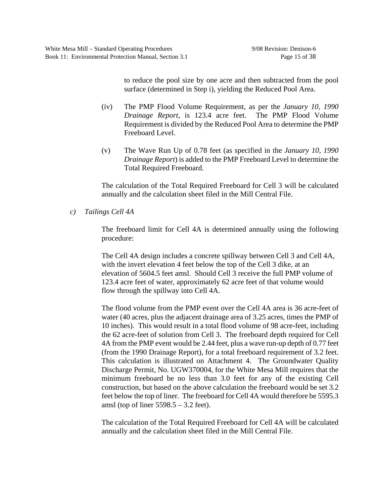to reduce the pool size by one acre and then subtracted from the pool surface (determined in Step i), yielding the Reduced Pool Area.

- (iv) The PMP Flood Volume Requirement, as per the *January 10, 1990 Drainage Report*, is 123.4 acre feet. The PMP Flood Volume Requirement is divided by the Reduced Pool Area to determine the PMP Freeboard Level.
- (v) The Wave Run Up of 0.78 feet (as specified in the *January 10, 1990 Drainage Report*) is added to the PMP Freeboard Level to determine the Total Required Freeboard.

The calculation of the Total Required Freeboard for Cell 3 will be calculated annually and the calculation sheet filed in the Mill Central File.

*c) Tailings Cell 4A* 

The freeboard limit for Cell 4A is determined annually using the following procedure:

The Cell 4A design includes a concrete spillway between Cell 3 and Cell 4A, with the invert elevation 4 feet below the top of the Cell 3 dike, at an elevation of 5604.5 feet amsl. Should Cell 3 receive the full PMP volume of 123.4 acre feet of water, approximately 62 acre feet of that volume would flow through the spillway into Cell 4A.

The flood volume from the PMP event over the Cell 4A area is 36 acre-feet of water (40 acres, plus the adjacent drainage area of 3.25 acres, times the PMP of 10 inches). This would result in a total flood volume of 98 acre-feet, including the 62 acre-feet of solution from Cell 3. The freeboard depth required for Cell 4A from the PMP event would be 2.44 feet, plus a wave run-up depth of 0.77 feet (from the 1990 Drainage Report), for a total freeboard requirement of 3.2 feet. This calculation is illustrated on Attachment 4. The Groundwater Quality Discharge Permit, No. UGW370004, for the White Mesa Mill requires that the minimum freeboard be no less than 3.0 feet for any of the existing Cell construction, but based on the above calculation the freeboard would be set 3.2 feet below the top of liner. The freeboard for Cell 4A would therefore be 5595.3 amsl (top of liner 5598.5 – 3.2 feet).

The calculation of the Total Required Freeboard for Cell 4A will be calculated annually and the calculation sheet filed in the Mill Central File.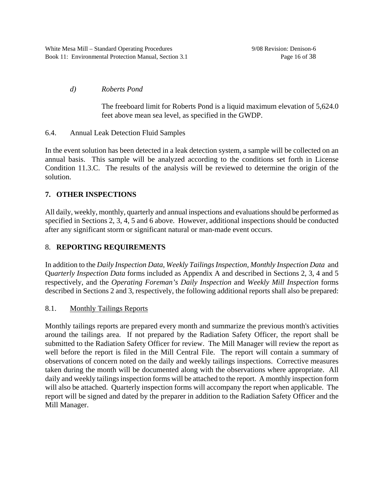### *d) Roberts Pond*

The freeboard limit for Roberts Pond is a liquid maximum elevation of 5,624.0 feet above mean sea level, as specified in the GWDP.

6.4. Annual Leak Detection Fluid Samples

In the event solution has been detected in a leak detection system, a sample will be collected on an annual basis. This sample will be analyzed according to the conditions set forth in License Condition 11.3.C. The results of the analysis will be reviewed to determine the origin of the solution.

# **7. OTHER INSPECTIONS**

All daily, weekly, monthly, quarterly and annual inspections and evaluations should be performed as specified in Sections 2, 3, 4, 5 and 6 above. However, additional inspections should be conducted after any significant storm or significant natural or man-made event occurs.

# 8. **REPORTING REQUIREMENTS**

In addition to the *Daily Inspection Data*, *Weekly Tailings Inspection, Monthly Inspection Data* and Q*uarterly Inspection Data* forms included as Appendix A and described in Sections 2, 3, 4 and 5 respectively, and the *Operating Foreman's Daily Inspection* and *Weekly Mill Inspection* forms described in Sections 2 and 3, respectively, the following additional reports shall also be prepared:

### 8.1. Monthly Tailings Reports

Monthly tailings reports are prepared every month and summarize the previous month's activities around the tailings area. If not prepared by the Radiation Safety Officer, the report shall be submitted to the Radiation Safety Officer for review. The Mill Manager will review the report as well before the report is filed in the Mill Central File. The report will contain a summary of observations of concern noted on the daily and weekly tailings inspections. Corrective measures taken during the month will be documented along with the observations where appropriate. All daily and weekly tailings inspection forms will be attached to the report. A monthly inspection form will also be attached. Quarterly inspection forms will accompany the report when applicable. The report will be signed and dated by the preparer in addition to the Radiation Safety Officer and the Mill Manager.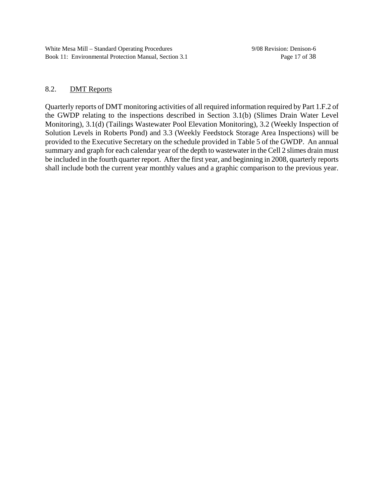### 8.2. DMT Reports

Quarterly reports of DMT monitoring activities of all required information required by Part 1.F.2 of the GWDP relating to the inspections described in Section 3.1(b) (Slimes Drain Water Level Monitoring), 3.1(d) (Tailings Wastewater Pool Elevation Monitoring), 3.2 (Weekly Inspection of Solution Levels in Roberts Pond) and 3.3 (Weekly Feedstock Storage Area Inspections) will be provided to the Executive Secretary on the schedule provided in Table 5 of the GWDP. An annual summary and graph for each calendar year of the depth to wastewater in the Cell 2 slimes drain must be included in the fourth quarter report. After the first year, and beginning in 2008, quarterly reports shall include both the current year monthly values and a graphic comparison to the previous year.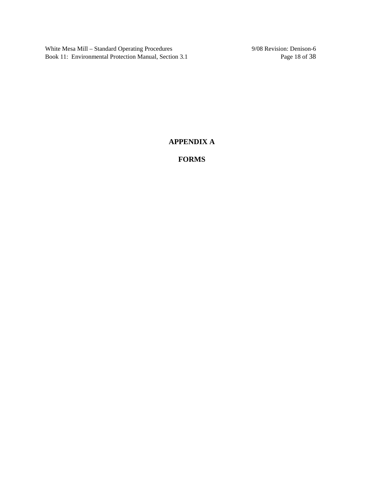White Mesa Mill – Standard Operating Procedures 9/08 Revision: Denison-6<br>Book 11: Environmental Protection Manual, Section 3.1 Page 18 of 38 Book 11: Environmental Protection Manual, Section 3.1

### **APPENDIX A**

**FORMS**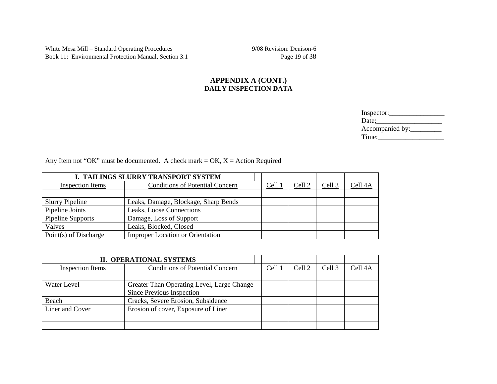White Mesa Mill – Standard Operating Procedures 9/08 Revision: Denison-6<br>Book 11: Environmental Protection Manual, Section 3.1 Page 19 of 38 Book 11: Environmental Protection Manual, Section 3.1

### **APPENDIX A (CONT.) DAILY INSPECTION DATA**

| Inspector:      |
|-----------------|
| Date;           |
| Accompanied by: |
| Time:           |

Any Item not "OK" must be documented. A check mark  $=$  OK,  $X =$  Action Required

| I. TAILINGS SLURRY TRANSPORT SYSTEM                               |                         |  |        |        |                    |
|-------------------------------------------------------------------|-------------------------|--|--------|--------|--------------------|
| <b>Conditions of Potential Concern</b><br><b>Inspection Items</b> |                         |  | Cell 2 | Cell 3 | Cell <sub>4A</sub> |
|                                                                   |                         |  |        |        |                    |
| Leaks, Damage, Blockage, Sharp Bends<br><b>Slurry Pipeline</b>    |                         |  |        |        |                    |
| Pipeline Joints<br>Leaks, Loose Connections                       |                         |  |        |        |                    |
| Pipeline Supports                                                 | Damage, Loss of Support |  |        |        |                    |
| Valves                                                            | Leaks, Blocked, Closed  |  |        |        |                    |
| Point(s) of Discharge<br><b>Improper Location or Orientation</b>  |                         |  |        |        |                    |

| <b>II. OPERATIONAL SYSTEMS</b>                                    |                                    |      |        |        |         |
|-------------------------------------------------------------------|------------------------------------|------|--------|--------|---------|
| <b>Conditions of Potential Concern</b><br><b>Inspection Items</b> |                                    | Cell | Cell 2 | Cell 3 | Cell 4A |
|                                                                   |                                    |      |        |        |         |
| Water Level<br>Greater Than Operating Level, Large Change         |                                    |      |        |        |         |
| Since Previous Inspection                                         |                                    |      |        |        |         |
| Beach                                                             | Cracks, Severe Erosion, Subsidence |      |        |        |         |
| Liner and Cover<br>Erosion of cover, Exposure of Liner            |                                    |      |        |        |         |
|                                                                   |                                    |      |        |        |         |
|                                                                   |                                    |      |        |        |         |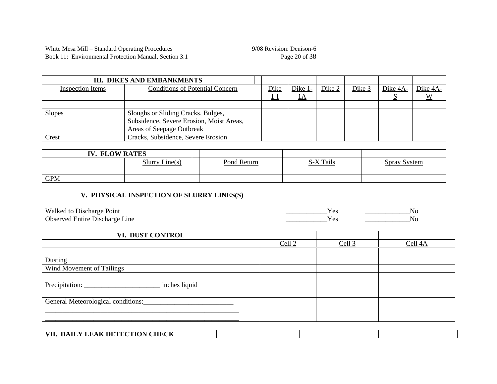White Mesa Mill – Standard Operating Procedures 9/08 Revision: Denison-6<br>Book 11: Environmental Protection Manual, Section 3.1 Page 20 of 38 Book 11: Environmental Protection Manual, Section 3.1

| <b>III. DIKES AND EMBANKMENTS</b>        |                                        |      |           |        |        |          |          |
|------------------------------------------|----------------------------------------|------|-----------|--------|--------|----------|----------|
| Inspection Items                         | <b>Conditions of Potential Concern</b> | Dike | Dike 1-   | Dike 2 | Dike 3 | Dike 4A- | Dike 4A- |
|                                          |                                        |      | <u>IA</u> |        |        |          |          |
|                                          |                                        |      |           |        |        |          |          |
| <b>Slopes</b>                            | Sloughs or Sliding Cracks, Bulges,     |      |           |        |        |          |          |
| Subsidence, Severe Erosion, Moist Areas, |                                        |      |           |        |        |          |          |
|                                          | Areas of Seepage Outbreak              |      |           |        |        |          |          |
| Crest                                    | Cracks, Subsidence, Severe Erosion     |      |           |        |        |          |          |

| <b>IV. FLOW RATES</b> |                       |             |           |              |
|-----------------------|-----------------------|-------------|-----------|--------------|
|                       | <b>Slurry Line(s)</b> | Pond Return | S-X Tails | Spray System |
|                       |                       |             |           |              |
| <b>GPM</b>            |                       |             |           |              |

### **V. PHYSICAL INSPECTION OF SLURRY LINES(S)**

| Walked to<br>Point<br>Discharge       |  |
|---------------------------------------|--|
| <b>Observed Entire Discharge Line</b> |  |

| VI. DUST CONTROL                   |          |          |         |
|------------------------------------|----------|----------|---------|
|                                    | Cell $2$ | Cell $3$ | Cell 4A |
|                                    |          |          |         |
| Dusting                            |          |          |         |
| Wind Movement of Tailings          |          |          |         |
|                                    |          |          |         |
| Precipitation:<br>inches liquid    |          |          |         |
|                                    |          |          |         |
| General Meteorological conditions: |          |          |         |
|                                    |          |          |         |
|                                    |          |          |         |

| . DAILY LEAK DETECTION CHECK<br>VII. |  |  |
|--------------------------------------|--|--|
|                                      |  |  |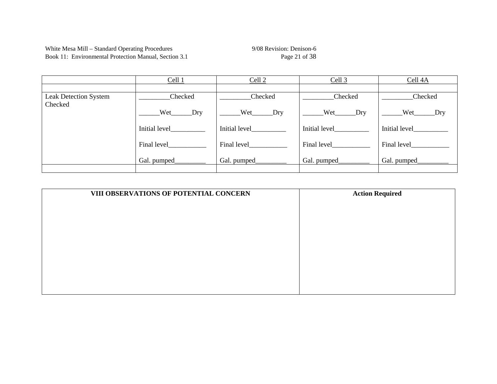White Mesa Mill – Standard Operating Procedures 9/08 Revision: Denison-6<br>Book 11: Environmental Protection Manual, Section 3.1 Page 21 of 38 Book 11: Environmental Protection Manual, Section 3.1

|                       | Cell <sub>1</sub>  | Cell <sub>2</sub> | Cell <sub>3</sub> | Cell $4A$     |  |
|-----------------------|--------------------|-------------------|-------------------|---------------|--|
|                       |                    |                   |                   |               |  |
| Leak Detection System | Checked            | Checked           | Checked           | Checked       |  |
| Checked               | Wet<br>Dry         | Wet<br>Dry        | Wet<br>Dry        | Wet<br>Dry    |  |
|                       | Initial level      | Initial level     | Initial level     | Initial level |  |
|                       | Final level_______ | Final level       | Final level       | Final level   |  |
|                       | Gal. pumped_       | Gal. pumped___    | Gal. pumped_      | Gal. pumped__ |  |
|                       |                    |                   |                   |               |  |

| VIII OBSERVATIONS OF POTENTIAL CONCERN | <b>Action Required</b> |
|----------------------------------------|------------------------|
|                                        |                        |
|                                        |                        |
|                                        |                        |
|                                        |                        |
|                                        |                        |
|                                        |                        |
|                                        |                        |
|                                        |                        |
|                                        |                        |
|                                        |                        |
|                                        |                        |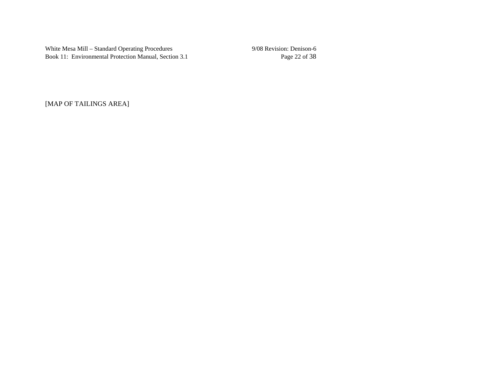White Mesa Mill – Standard Operating Procedures 9/08 Revision: Denison-6<br>Book 11: Environmental Protection Manual, Section 3.1 Page 22 of 38 Book 11: Environmental Protection Manual, Section 3.1

[MAP OF TAILINGS AREA]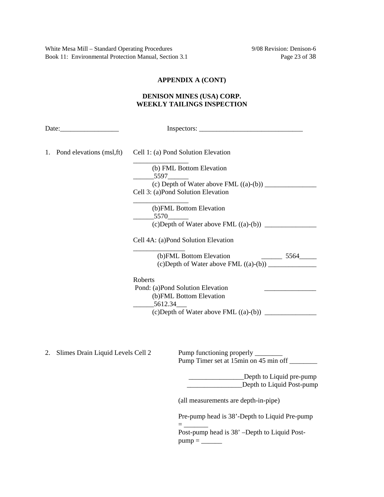White Mesa Mill – Standard Operating Procedures 9/08 Revision: Denison-6 Book 11: Environmental Protection Manual, Section 3.1 Page 23 of 38

#### **APPENDIX A (CONT)**

#### **DENISON MINES (USA) CORP. WEEKLY TAILINGS INSPECTION**

Date:\_\_\_\_\_\_\_\_\_\_\_\_\_\_\_\_\_ Inspectors: \_\_\_\_\_\_\_\_\_\_\_\_\_\_\_\_\_\_\_\_\_\_\_\_\_\_\_\_\_\_

1. Pond elevations (msl,ft) Cell 1: (a) Pond Solution Elevation

\_\_\_\_\_\_\_\_\_\_\_\_\_\_\_\_ (b) FML Bottom Elevation  $\_5597\_$  (c) Depth of Water above FML ((a)-(b)) \_\_\_\_\_\_\_\_\_\_\_\_\_\_\_ Cell 3: (a)Pond Solution Elevation \_\_\_\_\_\_\_\_\_\_\_\_\_\_\_\_

 (b)FML Bottom Elevation \_\_\_\_\_\_5570\_\_\_\_\_\_ (c)Depth of Water above FML ((a)-(b)) \_\_\_\_\_\_\_\_\_\_\_\_\_\_\_

Cell 4A: (a)Pond Solution Elevation

\_\_\_\_\_\_\_\_\_\_\_\_\_\_\_ (b) FML Bottom Elevation  $\frac{1}{2}$  5564 (c)Depth of Water above FML ((a)-(b)) \_\_\_\_\_\_\_\_\_\_\_\_\_\_

Roberts

Pond: (a)Pond Solution Elevation (b)FML Bottom Elevation  $\_5612.34\_$ (c)Depth of Water above FML ((a)-(b)) \_\_\_\_\_\_\_\_\_\_\_\_\_\_\_

2. Slimes Drain Liquid Levels Cell 2 Pump functioning properly \_\_\_\_\_\_\_\_\_\_\_

Pump Timer set at 15min on 45 min off \_\_\_\_\_\_\_\_

 \_\_\_\_\_\_\_\_\_\_\_\_\_\_\_\_Depth to Liquid pre-pump **Example 2** Depth to Liquid Post-pump

(all measurements are depth-in-pipe)

 $=$   $\frac{1}{2}$ 

Pre-pump head is 38'-Depth to Liquid Pre-pump

 Post-pump head is 38' –Depth to Liquid Postpump = \_\_\_\_\_\_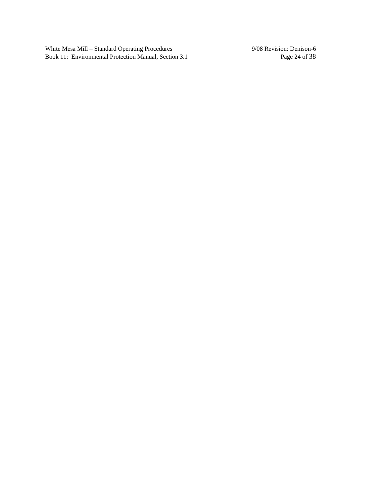White Mesa Mill – Standard Operating Procedures 9/08 Revision: Denison-6<br>Book 11: Environmental Protection Manual, Section 3.1 Page 24 of 38 Book 11: Environmental Protection Manual, Section 3.1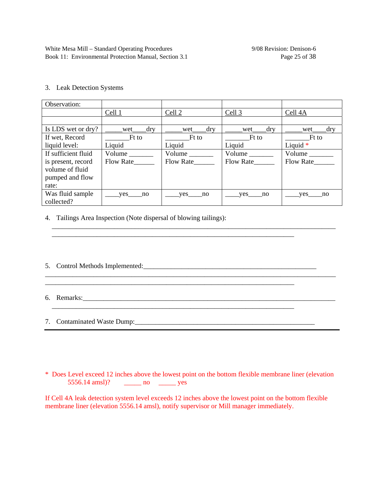#### 3. Leak Detection Systems

| Observation:        |                  |            |               |                              |
|---------------------|------------------|------------|---------------|------------------------------|
|                     | Cell 1           | Cell 2     | Cell 3        | Cell 4A                      |
|                     |                  |            |               |                              |
| Is LDS wet or dry?  | dry<br>wet       | dry<br>wet | dry<br>wet    | dry<br>wet                   |
| If wet, Record      | Ft to            | Ft to      | Ft to         | Ft to                        |
| liquid level:       | Liquid           | Liquid     | Liquid        | Liquid $*$                   |
| If sufficient fluid | Volume           | Volume     | Volume $\_\_$ | $Volume$ <sub>________</sub> |
| is present, record  | Flow Rate        | Flow Rate  | Flow Rate     | Flow Rate                    |
| volume of fluid     |                  |            |               |                              |
| pumped and flow     |                  |            |               |                              |
| rate:               |                  |            |               |                              |
| Was fluid sample    | <b>ves</b><br>no | yes<br>no  | ves<br>no     | yes<br>no                    |
| collected?          |                  |            |               |                              |

\_\_\_\_\_\_\_\_\_\_\_\_\_\_\_\_\_\_\_\_\_\_\_\_\_\_\_\_\_\_\_\_\_\_\_\_\_\_\_\_\_\_\_\_\_\_\_\_\_\_\_\_\_\_\_\_\_\_\_\_\_\_\_\_\_\_\_\_\_\_\_\_\_\_\_\_\_\_\_\_\_\_ \_\_\_\_\_\_\_\_\_\_\_\_\_\_\_\_\_\_\_\_\_\_\_\_\_\_\_\_\_\_\_\_\_\_\_\_\_\_\_\_\_\_\_\_\_\_\_\_\_\_\_\_\_\_\_\_\_\_\_\_\_\_\_\_\_\_\_\_\_\_

4. Tailings Area Inspection (Note dispersal of blowing tailings):

5. Control Methods Implemented:\_\_\_\_\_\_\_\_\_\_\_\_\_\_\_\_\_\_\_\_\_\_\_\_\_\_\_\_\_\_\_\_\_\_\_\_\_\_\_\_\_\_\_\_\_\_\_\_\_\_

6. Remarks:\_\_\_\_\_\_\_\_\_\_\_\_\_\_\_\_\_\_\_\_\_\_\_\_\_\_\_\_\_\_\_\_\_\_\_\_\_\_\_\_\_\_\_\_\_\_\_\_\_\_\_\_\_\_\_\_\_\_\_\_\_\_\_\_\_\_\_\_\_\_\_\_\_

7. Contaminated Waste Dump:

\* Does Level exceed 12 inches above the lowest point on the bottom flexible membrane liner (elevation 5556.14 amsl)? \_\_\_\_\_ no \_\_\_\_\_ yes

 $\mathcal{L}_\text{max} = \mathcal{L}_\text{max} = \mathcal{L}_\text{max} = \mathcal{L}_\text{max} = \mathcal{L}_\text{max} = \mathcal{L}_\text{max} = \mathcal{L}_\text{max} = \mathcal{L}_\text{max} = \mathcal{L}_\text{max}$ 

If Cell 4A leak detection system level exceeds 12 inches above the lowest point on the bottom flexible membrane liner (elevation 5556.14 amsl), notify supervisor or Mill manager immediately.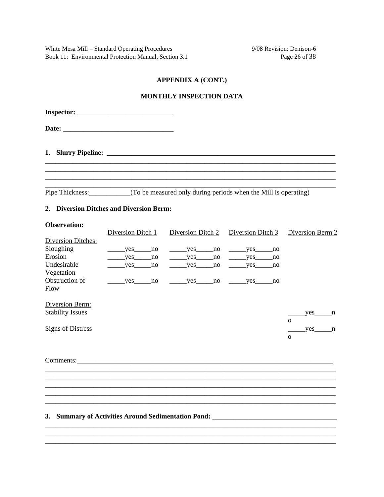White Mesa Mill - Standard Operating Procedures Book 11: Environmental Protection Manual, Section 3.1 9/08 Revision: Denison-6 Page 26 of 38

#### **APPENDIX A (CONT.)**

#### **MONTHLY INSPECTION DATA**

| <b>Inspector:</b> _________________________________ |  |  |
|-----------------------------------------------------|--|--|
|                                                     |  |  |
|                                                     |  |  |
|                                                     |  |  |
|                                                     |  |  |
|                                                     |  |  |

Pipe Thickness: \_\_\_\_\_\_\_\_\_\_\_\_(To be measured only during periods when the Mill is operating)

### 2. Diversion Ditches and Diversion Berm:

#### **Observation:**

|                           | Diversion Ditch 1 |    | Diversion Ditch 2 |    | Diversion Ditch 3 |    | Diversion Berm 2 |   |
|---------------------------|-------------------|----|-------------------|----|-------------------|----|------------------|---|
| <b>Diversion Ditches:</b> |                   |    |                   |    |                   |    |                  |   |
| Sloughing                 | yes               | no | yes               | no | yes               | no |                  |   |
| Erosion                   | yes               | no | yes               | no | yes               | no |                  |   |
| Undesirable               | <b>ves</b>        | no | <b>ves</b>        | no | <b>ves</b>        | no |                  |   |
| Vegetation                |                   |    |                   |    |                   |    |                  |   |
| Obstruction of            | yes               | no | yes               | no | ves               | no |                  |   |
| Flow                      |                   |    |                   |    |                   |    |                  |   |
| Diversion Berm:           |                   |    |                   |    |                   |    |                  |   |
| <b>Stability Issues</b>   |                   |    |                   |    |                   |    | yes              | n |
|                           |                   |    |                   |    |                   |    | $\mathbf 0$      |   |
| Signs of Distress         |                   |    |                   |    |                   |    | yes              | n |
|                           |                   |    |                   |    |                   |    | $\mathbf 0$      |   |
|                           |                   |    |                   |    |                   |    |                  |   |

#### 

### 3. Summary of Activities Around Sedimentation Pond: \_\_\_\_\_\_\_\_\_\_\_\_\_\_\_\_\_\_\_\_\_\_\_\_\_\_\_\_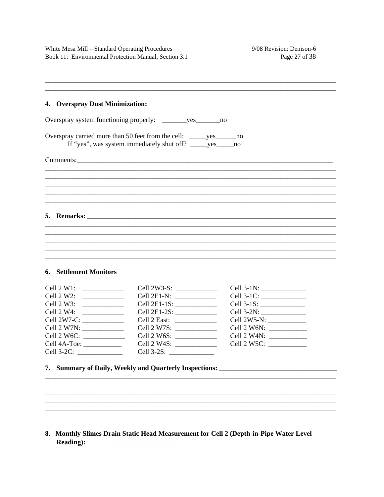#### 4. Overspray Dust Minimization:

Overspray carried more than 50 feet from the cell: \_\_\_\_\_\_yes\_\_\_\_\_\_\_\_no If "yes", was system immediately shut off? \_\_\_\_\_yes\_\_\_\_\_no

### $\mathbf{D}_{\mathbf{a}}$

| 5. kemarks: |  | <u> 1980 - Johann Barn, amerikan besteman besteman besteman besteman besteman besteman besteman besteman besteman</u> |  |  |
|-------------|--|-----------------------------------------------------------------------------------------------------------------------|--|--|
|             |  |                                                                                                                       |  |  |
|             |  |                                                                                                                       |  |  |
|             |  |                                                                                                                       |  |  |
|             |  |                                                                                                                       |  |  |
|             |  |                                                                                                                       |  |  |

#### **6.** Settlement Monitors

| Cell $2$ W1:                            |                                                                        |                  |
|-----------------------------------------|------------------------------------------------------------------------|------------------|
| Cell $2 W2$ :                           | Cell 2E1-N: _____________                                              |                  |
|                                         | Cell 2E1-1S: ____________                                              |                  |
| Cell 2 W4: $\frac{1}{2 \times 10^{11}}$ | Cell 2E1-2S: ____________                                              |                  |
| $Cell 2W7-C:$                           |                                                                        |                  |
|                                         | Cell $2 W7S$ :                                                         | Cell 2 W6N: $\_$ |
| Cell 2 W6C: $\_\_$                      | Cell 2 W6S: $\frac{1}{\sqrt{1-\frac{1}{2}}}\$                          |                  |
|                                         | Cell $2$ W4S: $\_\_\_\_\_\_\_\_\_\_\_\_\_\_\_\_\_\_\_\_\_\_\_\_\_\_\_$ |                  |
| Cell 3-2C: $\qquad \qquad$              |                                                                        |                  |

### 7. Summary of Daily, Weekly and Quarterly Inspections: \_\_\_\_\_\_\_\_\_\_\_\_\_\_\_\_\_\_\_\_\_\_\_\_\_\_

8. Monthly Slimes Drain Static Head Measurement for Cell 2 (Depth-in-Pipe Water Level **Reading:**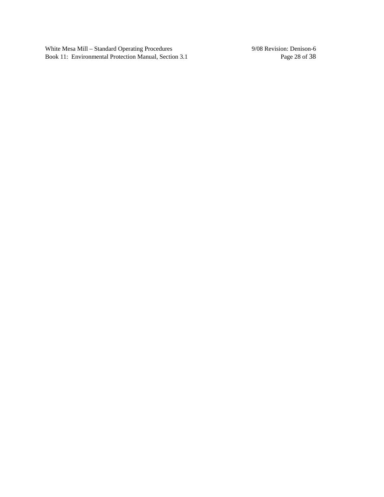White Mesa Mill – Standard Operating Procedures 9/08 Revision: Denison-6 Book 11: Environmental Protection Manual, Section 3.1 Page 28 of 38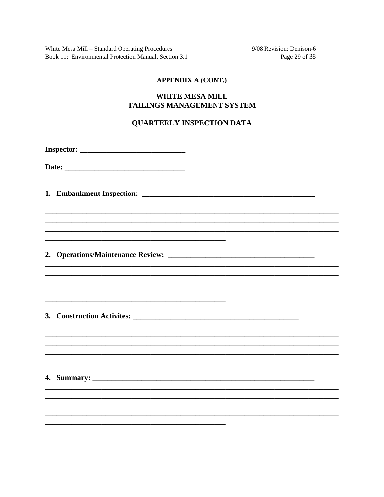White Mesa Mill - Standard Operating Procedures Book 11: Environmental Protection Manual, Section 3.1 9/08 Revision: Denison-6 Page 29 of 38

#### **APPENDIX A (CONT.)**

### **WHITE MESA MILL TAILINGS MANAGEMENT SYSTEM**

#### **QUARTERLY INSPECTION DATA**

###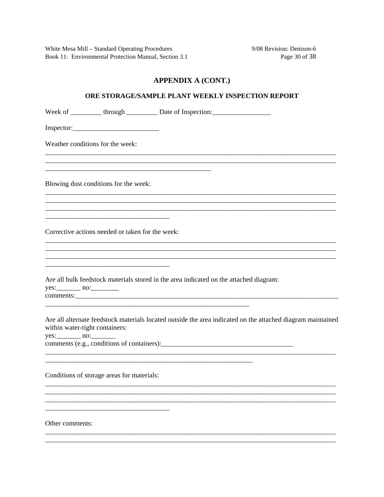White Mesa Mill - Standard Operating Procedures Book 11: Environmental Protection Manual, Section 3.1 9/08 Revision: Denison-6 Page 30 of 38

### **APPENDIX A (CONT.)**

#### ORE STORAGE/SAMPLE PLANT WEEKLY INSPECTION REPORT

Week of \_\_\_\_\_\_\_\_\_\_\_ through \_\_\_\_\_\_\_\_\_\_\_\_ Date of Inspection: \_\_\_\_\_\_\_\_\_\_\_\_\_\_\_\_\_\_\_\_  $Inspector:$ Weather conditions for the week: Blowing dust conditions for the week: Corrective actions needed or taken for the week: Are all bulk feedstock materials stored in the area indicated on the attached diagram: Are all alternate feedstock materials located outside the area indicated on the attached diagram maintained within water-tight containers:  $yes:$  no: comments (e.g., conditions of containers): Conditions of storage areas for materials: Other comments: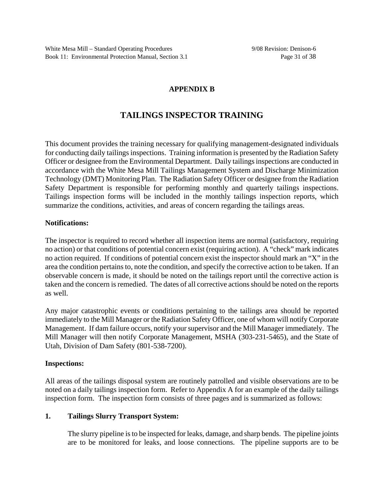### **APPENDIX B**

# **TAILINGS INSPECTOR TRAINING**

This document provides the training necessary for qualifying management-designated individuals for conducting daily tailings inspections. Training information is presented by the Radiation Safety Officer or designee from the Environmental Department. Daily tailings inspections are conducted in accordance with the White Mesa Mill Tailings Management System and Discharge Minimization Technology (DMT) Monitoring Plan. The Radiation Safety Officer or designee from the Radiation Safety Department is responsible for performing monthly and quarterly tailings inspections. Tailings inspection forms will be included in the monthly tailings inspection reports, which summarize the conditions, activities, and areas of concern regarding the tailings areas.

### **Notifications:**

The inspector is required to record whether all inspection items are normal (satisfactory, requiring no action) or that conditions of potential concern exist (requiring action). A "check" mark indicates no action required. If conditions of potential concern exist the inspector should mark an "X" in the area the condition pertains to, note the condition, and specify the corrective action to be taken. If an observable concern is made, it should be noted on the tailings report until the corrective action is taken and the concern is remedied. The dates of all corrective actions should be noted on the reports as well.

Any major catastrophic events or conditions pertaining to the tailings area should be reported immediately to the Mill Manager or the Radiation Safety Officer, one of whom will notify Corporate Management. If dam failure occurs, notify your supervisor and the Mill Manager immediately. The Mill Manager will then notify Corporate Management, MSHA (303-231-5465), and the State of Utah, Division of Dam Safety (801-538-7200).

### **Inspections:**

All areas of the tailings disposal system are routinely patrolled and visible observations are to be noted on a daily tailings inspection form. Refer to Appendix A for an example of the daily tailings inspection form. The inspection form consists of three pages and is summarized as follows:

### **1. Tailings Slurry Transport System:**

The slurry pipeline is to be inspected for leaks, damage, and sharp bends. The pipeline joints are to be monitored for leaks, and loose connections. The pipeline supports are to be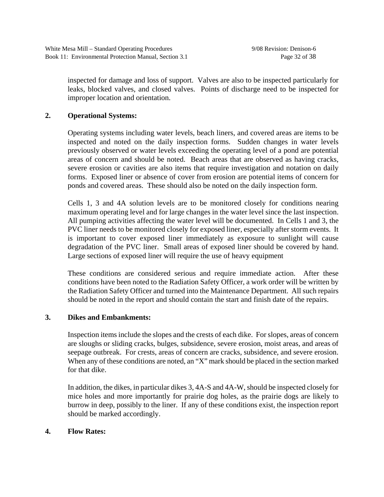inspected for damage and loss of support. Valves are also to be inspected particularly for leaks, blocked valves, and closed valves. Points of discharge need to be inspected for improper location and orientation.

### **2. Operational Systems:**

Operating systems including water levels, beach liners, and covered areas are items to be inspected and noted on the daily inspection forms. Sudden changes in water levels previously observed or water levels exceeding the operating level of a pond are potential areas of concern and should be noted. Beach areas that are observed as having cracks, severe erosion or cavities are also items that require investigation and notation on daily forms. Exposed liner or absence of cover from erosion are potential items of concern for ponds and covered areas. These should also be noted on the daily inspection form.

Cells 1, 3 and 4A solution levels are to be monitored closely for conditions nearing maximum operating level and for large changes in the water level since the last inspection. All pumping activities affecting the water level will be documented. In Cells 1 and 3, the PVC liner needs to be monitored closely for exposed liner, especially after storm events. It is important to cover exposed liner immediately as exposure to sunlight will cause degradation of the PVC liner. Small areas of exposed liner should be covered by hand. Large sections of exposed liner will require the use of heavy equipment

These conditions are considered serious and require immediate action. After these conditions have been noted to the Radiation Safety Officer, a work order will be written by the Radiation Safety Officer and turned into the Maintenance Department. All such repairs should be noted in the report and should contain the start and finish date of the repairs.

### **3. Dikes and Embankments:**

Inspection items include the slopes and the crests of each dike. For slopes, areas of concern are sloughs or sliding cracks, bulges, subsidence, severe erosion, moist areas, and areas of seepage outbreak. For crests, areas of concern are cracks, subsidence, and severe erosion. When any of these conditions are noted, an "X" mark should be placed in the section marked for that dike.

In addition, the dikes, in particular dikes 3, 4A-S and 4A-W, should be inspected closely for mice holes and more importantly for prairie dog holes, as the prairie dogs are likely to burrow in deep, possibly to the liner. If any of these conditions exist, the inspection report should be marked accordingly.

### **4. Flow Rates:**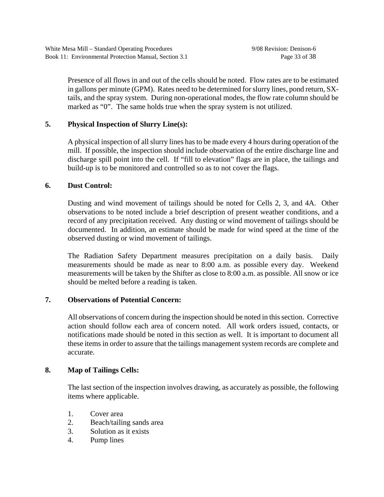Presence of all flows in and out of the cells should be noted. Flow rates are to be estimated in gallons per minute (GPM). Rates need to be determined for slurry lines, pond return, SXtails, and the spray system. During non-operational modes, the flow rate column should be marked as "0". The same holds true when the spray system is not utilized.

## **5. Physical Inspection of Slurry Line(s):**

A physical inspection of all slurry lines has to be made every 4 hours during operation of the mill. If possible, the inspection should include observation of the entire discharge line and discharge spill point into the cell. If "fill to elevation" flags are in place, the tailings and build-up is to be monitored and controlled so as to not cover the flags.

### **6. Dust Control:**

Dusting and wind movement of tailings should be noted for Cells 2, 3, and 4A. Other observations to be noted include a brief description of present weather conditions, and a record of any precipitation received. Any dusting or wind movement of tailings should be documented. In addition, an estimate should be made for wind speed at the time of the observed dusting or wind movement of tailings.

The Radiation Safety Department measures precipitation on a daily basis. Daily measurements should be made as near to 8:00 a.m. as possible every day. Weekend measurements will be taken by the Shifter as close to 8:00 a.m. as possible. All snow or ice should be melted before a reading is taken.

### **7. Observations of Potential Concern:**

All observations of concern during the inspection should be noted in this section. Corrective action should follow each area of concern noted. All work orders issued, contacts, or notifications made should be noted in this section as well. It is important to document all these items in order to assure that the tailings management system records are complete and accurate.

### **8. Map of Tailings Cells:**

The last section of the inspection involves drawing, as accurately as possible, the following items where applicable.

- 1. Cover area
- 2. Beach/tailing sands area
- 3. Solution as it exists
- 4. Pump lines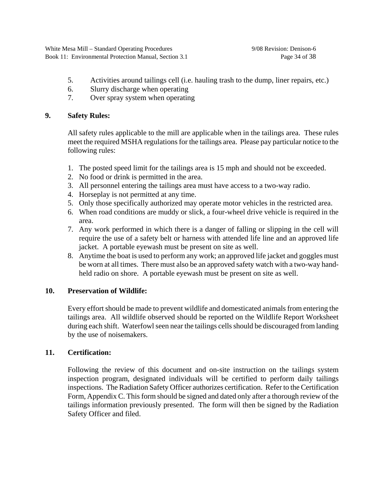- 5. Activities around tailings cell (i.e. hauling trash to the dump, liner repairs, etc.)
- 6. Slurry discharge when operating
- 7. Over spray system when operating

### **9. Safety Rules:**

All safety rules applicable to the mill are applicable when in the tailings area. These rules meet the required MSHA regulations for the tailings area. Please pay particular notice to the following rules:

- 1. The posted speed limit for the tailings area is 15 mph and should not be exceeded.
- 2. No food or drink is permitted in the area.
- 3. All personnel entering the tailings area must have access to a two-way radio.
- 4. Horseplay is not permitted at any time.
- 5. Only those specifically authorized may operate motor vehicles in the restricted area.
- 6. When road conditions are muddy or slick, a four-wheel drive vehicle is required in the area.
- 7. Any work performed in which there is a danger of falling or slipping in the cell will require the use of a safety belt or harness with attended life line and an approved life jacket. A portable eyewash must be present on site as well.
- 8. Anytime the boat is used to perform any work; an approved life jacket and goggles must be worn at all times. There must also be an approved safety watch with a two-way handheld radio on shore. A portable eyewash must be present on site as well.

# **10. Preservation of Wildlife:**

Every effort should be made to prevent wildlife and domesticated animals from entering the tailings area. All wildlife observed should be reported on the Wildlife Report Worksheet during each shift. Waterfowl seen near the tailings cells should be discouraged from landing by the use of noisemakers.

# **11. Certification:**

Following the review of this document and on-site instruction on the tailings system inspection program, designated individuals will be certified to perform daily tailings inspections. The Radiation Safety Officer authorizes certification. Refer to the Certification Form, Appendix C. This form should be signed and dated only after a thorough review of the tailings information previously presented. The form will then be signed by the Radiation Safety Officer and filed.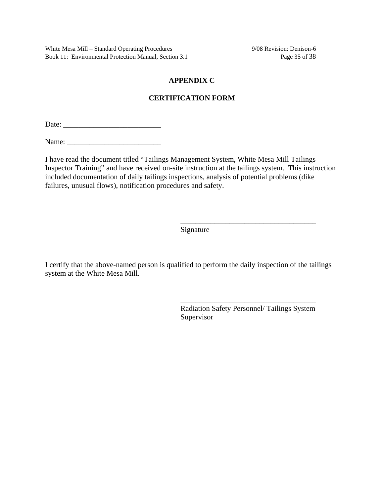White Mesa Mill – Standard Operating Procedures 9/08 Revision: Denison-6 Book 11: Environmental Protection Manual, Section 3.1 Page 35 of 38

### **APPENDIX C**

### **CERTIFICATION FORM**

Date: \_\_\_\_\_\_\_\_\_\_\_\_\_\_\_\_\_\_\_\_\_\_\_\_\_\_

Name:

I have read the document titled "Tailings Management System, White Mesa Mill Tailings Inspector Training" and have received on-site instruction at the tailings system. This instruction included documentation of daily tailings inspections, analysis of potential problems (dike failures, unusual flows), notification procedures and safety.

Signature

I certify that the above-named person is qualified to perform the daily inspection of the tailings system at the White Mesa Mill.

 $\overline{\phantom{a}}$  , which is a set of the set of the set of the set of the set of the set of the set of the set of the set of the set of the set of the set of the set of the set of the set of the set of the set of the set of th

Radiation Safety Personnel/ Tailings System Supervisor

 $\mathcal{L}_\text{max}$  , where  $\mathcal{L}_\text{max}$  and  $\mathcal{L}_\text{max}$  and  $\mathcal{L}_\text{max}$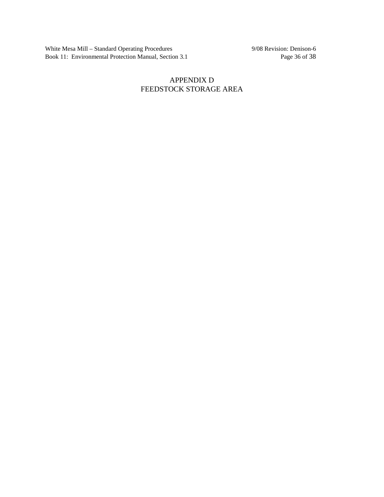White Mesa Mill – Standard Operating Procedures 9/08 Revision: Denison-6 Book 11: Environmental Protection Manual, Section 3.1 Page 36 of 38

### APPENDIX D FEEDSTOCK STORAGE AREA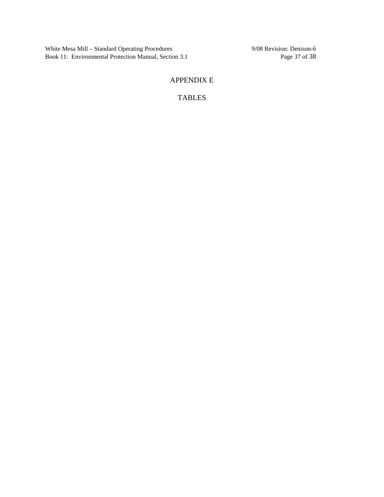White Mesa Mill – Standard Operating Procedures 9/08 Revision: Denison-6 Book 11: Environmental Protection Manual, Section 3.1 Page 37 of 38

# APPENDIX E

TABLES